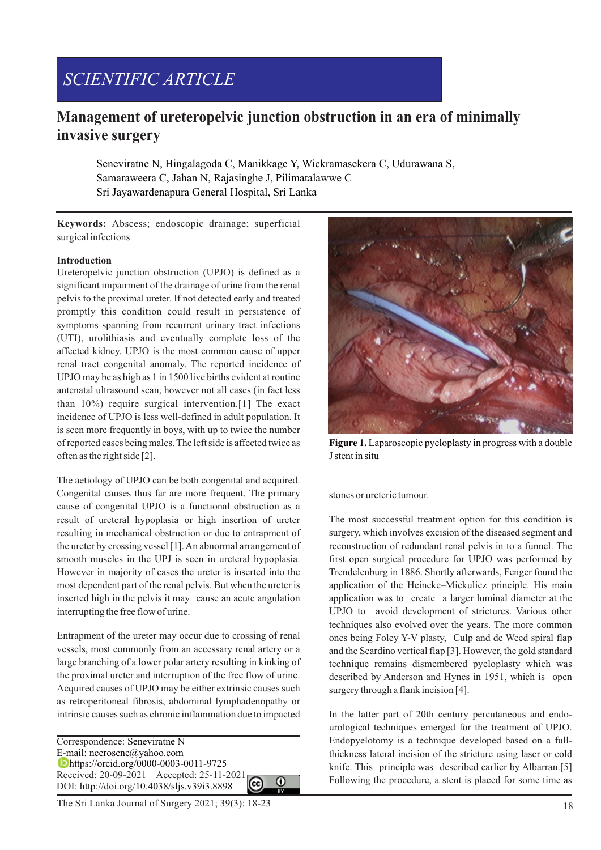# *SCIENTIFIC ARTICLE*

# **Management of ureteropelvic junction obstruction in an era of minimally invasive surgery**

Seneviratne N, Hingalagoda C, Manikkage Y, Wickramasekera C, Udurawana S, Samaraweera C, Jahan N, Rajasinghe J, Pilimatalawwe C Sri Jayawardenapura General Hospital, Sri Lanka

**Keywords:** Abscess; endoscopic drainage; superficial surgical infections

#### **Introduction**

Ureteropelvic junction obstruction (UPJO) is defined as a significant impairment of the drainage of urine from the renal pelvis to the proximal ureter. If not detected early and treated promptly this condition could result in persistence of symptoms spanning from recurrent urinary tract infections (UTI), urolithiasis and eventually complete loss of the affected kidney. UPJO is the most common cause of upper renal tract congenital anomaly. The reported incidence of UPJO may be as high as 1 in 1500 live births evident at routine antenatal ultrasound scan, however not all cases (in fact less than 10%) require surgical intervention.[1] The exact incidence of UPJO is less well-defined in adult population. It is seen more frequently in boys, with up to twice the number of reported cases being males. The left side is affected twice as often as the right side [2].

The aetiology of UPJO can be both congenital and acquired. Congenital causes thus far are more frequent. The primary cause of congenital UPJO is a functional obstruction as a result of ureteral hypoplasia or high insertion of ureter resulting in mechanical obstruction or due to entrapment of the ureter by crossing vessel [1]. An abnormal arrangement of smooth muscles in the UPJ is seen in ureteral hypoplasia. However in majority of cases the ureter is inserted into the most dependent part of the renal pelvis. But when the ureter is inserted high in the pelvis it may cause an acute angulation interrupting the free flow of urine.

Entrapment of the ureter may occur due to crossing of renal vessels, most commonly from an accessary renal artery or a large branching of a lower polar artery resulting in kinking of the proximal ureter and interruption of the free flow of urine. Acquired causes of UPJO may be either extrinsic causes such as retroperitoneal fibrosis, abdominal lymphadenopathy or intrinsic causes such as chronic inflammation due to impacted

Correspondence: Seneviratne N E-mail: neerosene@yahoo.com https://orcid.org/0000-0003-0011-9725 Received: 20-09-2021 Accepted: 25-11-2021  $\Omega$ DOI: http://doi.org/10.4038/sljs.v39i3.8898

The Sri Lanka Journal of Surgery 2021; 39(3): 18-23 18



**Figure 1.** Laparoscopic pyeloplasty in progress with a double J stent in situ

stones or ureteric tumour.

The most successful treatment option for this condition is surgery, which involves excision of the diseased segment and reconstruction of redundant renal pelvis in to a funnel. The first open surgical procedure for UPJO was performed by Trendelenburg in 1886. Shortly afterwards, Fenger found the application of the Heineke–Mickulicz principle. His main application was to create a larger luminal diameter at the UPJO to avoid development of strictures. Various other techniques also evolved over the years. The more common ones being Foley Y-V plasty, Culp and de Weed spiral flap and the Scardino vertical flap [3]. However, the gold standard technique remains dismembered pyeloplasty which was described by Anderson and Hynes in 1951, which is open surgery through a flank incision [4].

In the latter part of 20th century percutaneous and endourological techniques emerged for the treatment of UPJO. Endopyelotomy is a technique developed based on a fullthickness lateral incision of the stricture using laser or cold knife. This principle was described earlier by Albarran.[5] Following the procedure, a stent is placed for some time as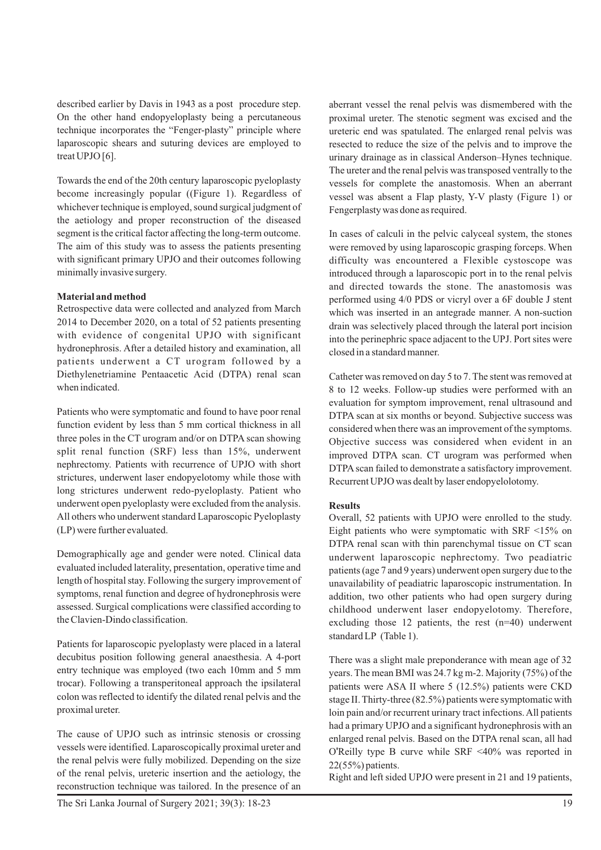described earlier by Davis in 1943 as a post procedure step. On the other hand endopyeloplasty being a percutaneous technique incorporates the "Fenger-plasty" principle where laparoscopic shears and suturing devices are employed to treat UPJO [6].

Towards the end of the 20th century laparoscopic pyeloplasty become increasingly popular ((Figure 1). Regardless of whichever technique is employed, sound surgical judgment of the aetiology and proper reconstruction of the diseased segment is the critical factor affecting the long-term outcome. The aim of this study was to assess the patients presenting with significant primary UPJO and their outcomes following minimally invasive surgery.

### **Material and method**

Retrospective data were collected and analyzed from March 2014 to December 2020, on a total of 52 patients presenting with evidence of congenital UPJO with significant hydronephrosis. After a detailed history and examination, all patients underwent a CT urogram followed by a Diethylenetriamine Pentaacetic Acid (DTPA) renal scan when indicated.

Patients who were symptomatic and found to have poor renal function evident by less than 5 mm cortical thickness in all three poles in the CT urogram and/or on DTPA scan showing split renal function (SRF) less than 15%, underwent nephrectomy. Patients with recurrence of UPJO with short strictures, underwent laser endopyelotomy while those with long strictures underwent redo-pyeloplasty. Patient who underwent open pyeloplasty were excluded from the analysis. All others who underwent standard Laparoscopic Pyeloplasty (LP) were further evaluated.

Demographically age and gender were noted. Clinical data evaluated included laterality, presentation, operative time and length of hospital stay. Following the surgery improvement of symptoms, renal function and degree of hydronephrosis were assessed. Surgical complications were classified according to the Clavien-Dindo classification.

Patients for laparoscopic pyeloplasty were placed in a lateral decubitus position following general anaesthesia. A 4-port entry technique was employed (two each 10mm and 5 mm trocar). Following a transperitoneal approach the ipsilateral colon was reflected to identify the dilated renal pelvis and the proximal ureter.

The cause of UPJO such as intrinsic stenosis or crossing vessels were identified. Laparoscopically proximal ureter and the renal pelvis were fully mobilized. Depending on the size of the renal pelvis, ureteric insertion and the aetiology, the reconstruction technique was tailored. In the presence of an

aberrant vessel the renal pelvis was dismembered with the proximal ureter. The stenotic segment was excised and the ureteric end was spatulated. The enlarged renal pelvis was resected to reduce the size of the pelvis and to improve the urinary drainage as in classical Anderson–Hynes technique. The ureter and the renal pelvis was transposed ventrally to the vessels for complete the anastomosis. When an aberrant vessel was absent a Flap plasty, Y-V plasty (Figure 1) or Fengerplasty was done as required.

In cases of calculi in the pelvic calyceal system, the stones were removed by using laparoscopic grasping forceps. When difficulty was encountered a Flexible cystoscope was introduced through a laparoscopic port in to the renal pelvis and directed towards the stone. The anastomosis was performed using 4/0 PDS or vicryl over a 6F double J stent which was inserted in an antegrade manner. A non-suction drain was selectively placed through the lateral port incision into the perinephric space adjacent to the UPJ. Port sites were closed in a standard manner.

Catheter was removed on day 5 to 7. The stent was removed at 8 to 12 weeks. Follow-up studies were performed with an evaluation for symptom improvement, renal ultrasound and DTPA scan at six months or beyond. Subjective success was considered when there was an improvement of the symptoms. Objective success was considered when evident in an improved DTPA scan. CT urogram was performed when DTPA scan failed to demonstrate a satisfactory improvement. Recurrent UPJO was dealt by laser endopyelolotomy.

### **Results**

Overall, 52 patients with UPJO were enrolled to the study. Eight patients who were symptomatic with SRF <15% on DTPA renal scan with thin parenchymal tissue on CT scan underwent laparoscopic nephrectomy. Two peadiatric patients (age 7 and 9 years) underwent open surgery due to the unavailability of peadiatric laparoscopic instrumentation. In addition, two other patients who had open surgery during childhood underwent laser endopyelotomy. Therefore, excluding those 12 patients, the rest (n=40) underwent standard LP (Table 1).

There was a slight male preponderance with mean age of 32 years. The mean BMI was 24.7 kg m-2. Majority (75%) of the patients were ASA II where 5 (12.5%) patients were CKD stage II. Thirty-three (82.5%) patients were symptomatic with loin pain and/or recurrent urinary tract infections. All patients had a primary UPJO and a significant hydronephrosis with an enlarged renal pelvis. Based on the DTPA renal scan, all had O'Reilly type B curve while SRF <40% was reported in 22(55%) patients.

Right and left sided UPJO were present in 21 and 19 patients,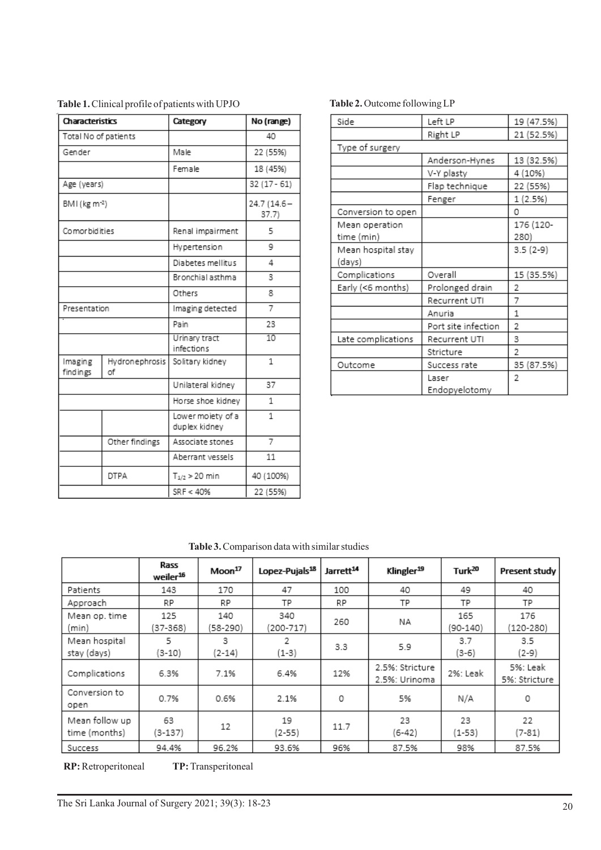| Characteristics           |                      | Category                           | No (range)           |  |
|---------------------------|----------------------|------------------------------------|----------------------|--|
| Total No of patients      |                      |                                    | 40                   |  |
| Gender                    |                      | Male                               | 22 (55%)             |  |
|                           |                      | Female                             | 18 (45%)             |  |
| Age (years)               |                      |                                    | $32(17 - 61)$        |  |
| BMI (kg m <sup>-2</sup> ) |                      |                                    | 24.7 (14.6-<br>37.7) |  |
| Comor bidities            |                      | Renal impairment                   | 5                    |  |
|                           |                      | Hypertension                       | 9                    |  |
|                           |                      | Diabetes mellitus                  | 4                    |  |
|                           |                      | Bronchial asthma                   | 3                    |  |
|                           |                      | Others                             | 8                    |  |
| Presentation              |                      | Imaging detected                   | 7                    |  |
|                           |                      | Pain                               | 23                   |  |
|                           |                      | Urinary tract<br>infections        | 10                   |  |
| Imaging<br>findings       | Hydronephrosis<br>оf | Solitary kidney                    | 1                    |  |
|                           |                      | Unilateral kidney                  | 37                   |  |
|                           |                      | Horse shoe kidney                  | $\mathbf{1}$         |  |
|                           |                      | Lower moiety of a<br>duplex kidney | $\mathbf{1}$         |  |
|                           | Other findings       | Associate stones                   | 7                    |  |
|                           |                      | Aberrant vessels                   | 11                   |  |
|                           | <b>DTPA</b>          | $T_{1/2}$ > 20 min                 | 40 (100%)            |  |
|                           |                      | SRF < 40%                          | 22 (55%)             |  |

**Table 1.**Clinical profile of patients with UPJO **Table 2.** Outcome following LP

| Left LP<br>Side<br>19 (47.5%)<br>Right LP<br>21 (52.5%)<br>Type of surgery<br>13 (32.5%)<br>Anderson-Hynes<br>4 (10%)<br>V-Y plasty<br>Flap technique<br>22 (55%)<br>1 (2.5%)<br>Fenger<br>Conversion to open<br>Ω<br>176 (120-<br>Mean operation<br>time (min)<br>280)<br>Mean hospital stay<br>$3.5(2-9)$<br>(days)<br>Overall<br>15 (35.5%)<br>Complications<br>Prolonged drain<br>Early (<6 months)<br>2<br>7<br>Recurrent UTI<br>1<br>Anuria<br>Port site infection<br>2<br>Late complications<br>3<br>Recurrent UTI<br>2<br>Stricture<br>35 (87.5%)<br>Outcome<br>Success rate<br>2<br>Laser |  |               |  |  |  |  |  |
|----------------------------------------------------------------------------------------------------------------------------------------------------------------------------------------------------------------------------------------------------------------------------------------------------------------------------------------------------------------------------------------------------------------------------------------------------------------------------------------------------------------------------------------------------------------------------------------------------|--|---------------|--|--|--|--|--|
|                                                                                                                                                                                                                                                                                                                                                                                                                                                                                                                                                                                                    |  |               |  |  |  |  |  |
|                                                                                                                                                                                                                                                                                                                                                                                                                                                                                                                                                                                                    |  |               |  |  |  |  |  |
|                                                                                                                                                                                                                                                                                                                                                                                                                                                                                                                                                                                                    |  |               |  |  |  |  |  |
|                                                                                                                                                                                                                                                                                                                                                                                                                                                                                                                                                                                                    |  |               |  |  |  |  |  |
|                                                                                                                                                                                                                                                                                                                                                                                                                                                                                                                                                                                                    |  |               |  |  |  |  |  |
|                                                                                                                                                                                                                                                                                                                                                                                                                                                                                                                                                                                                    |  |               |  |  |  |  |  |
|                                                                                                                                                                                                                                                                                                                                                                                                                                                                                                                                                                                                    |  |               |  |  |  |  |  |
|                                                                                                                                                                                                                                                                                                                                                                                                                                                                                                                                                                                                    |  |               |  |  |  |  |  |
|                                                                                                                                                                                                                                                                                                                                                                                                                                                                                                                                                                                                    |  |               |  |  |  |  |  |
|                                                                                                                                                                                                                                                                                                                                                                                                                                                                                                                                                                                                    |  |               |  |  |  |  |  |
|                                                                                                                                                                                                                                                                                                                                                                                                                                                                                                                                                                                                    |  |               |  |  |  |  |  |
|                                                                                                                                                                                                                                                                                                                                                                                                                                                                                                                                                                                                    |  |               |  |  |  |  |  |
|                                                                                                                                                                                                                                                                                                                                                                                                                                                                                                                                                                                                    |  |               |  |  |  |  |  |
|                                                                                                                                                                                                                                                                                                                                                                                                                                                                                                                                                                                                    |  |               |  |  |  |  |  |
|                                                                                                                                                                                                                                                                                                                                                                                                                                                                                                                                                                                                    |  |               |  |  |  |  |  |
|                                                                                                                                                                                                                                                                                                                                                                                                                                                                                                                                                                                                    |  |               |  |  |  |  |  |
|                                                                                                                                                                                                                                                                                                                                                                                                                                                                                                                                                                                                    |  |               |  |  |  |  |  |
|                                                                                                                                                                                                                                                                                                                                                                                                                                                                                                                                                                                                    |  |               |  |  |  |  |  |
|                                                                                                                                                                                                                                                                                                                                                                                                                                                                                                                                                                                                    |  |               |  |  |  |  |  |
|                                                                                                                                                                                                                                                                                                                                                                                                                                                                                                                                                                                                    |  |               |  |  |  |  |  |
|                                                                                                                                                                                                                                                                                                                                                                                                                                                                                                                                                                                                    |  |               |  |  |  |  |  |
|                                                                                                                                                                                                                                                                                                                                                                                                                                                                                                                                                                                                    |  | Endopyelotomy |  |  |  |  |  |

**Table 3.**Comparison data with similar studies

|                                 | Rass<br>weiler <sup>16</sup> | Moon <sup>17</sup> | Lopez-Pujals <sup>18</sup> | Jarrett <sup>14</sup> | Klingler <sup>19</sup>           | Turk <sup>20</sup> | Present study             |
|---------------------------------|------------------------------|--------------------|----------------------------|-----------------------|----------------------------------|--------------------|---------------------------|
| Patients                        | 143                          | 170                | 47                         | 100                   | 40                               | 49                 | 40                        |
| Approach                        | RP.                          | RP.                | TP                         | RP.                   | TP                               | TP                 | TP                        |
| Mean op. time<br>(min           | 125<br>$(37 - 368)$          | 140<br>(58-290)    | 340<br>(200-717)           | 260                   | NA.                              | 165<br>(90-140)    | 176<br>$(120 - 280)$      |
| Mean hospital<br>stay (days)    | 5.<br>(3-10)                 | 3.<br>(2-14)       | 2<br>(1-3)                 | 3.3                   | 5.9                              | 3.7<br>$(3-6)$     | 3.5<br>(2-9)              |
| Complications                   | 6.3%                         | 7.1%               | 6.4%                       | 12%                   | 2.5%: Stricture<br>2.5%: Urinoma | 2%: Leak           | 5%: Leak<br>5%: Stricture |
| Conversion to<br>open           | 0.7%                         | 0.6%               | 2.1%                       | 0                     | 5%                               | N/A                | 0                         |
| Mean follow up<br>time (months) | 63<br>(3-137)                | 12                 | 19<br>(2-55)               | 11.7                  | 23<br>(6-42)                     | 23<br>$(1-53)$     | 22<br>(7-81)              |
| Success                         | 94.4%                        | 96.2%              | 93.6%                      | 96%                   | 87.5%                            | 98%                | 87.5%                     |

**RP:** Retroperitoneal **TP:** Transperitoneal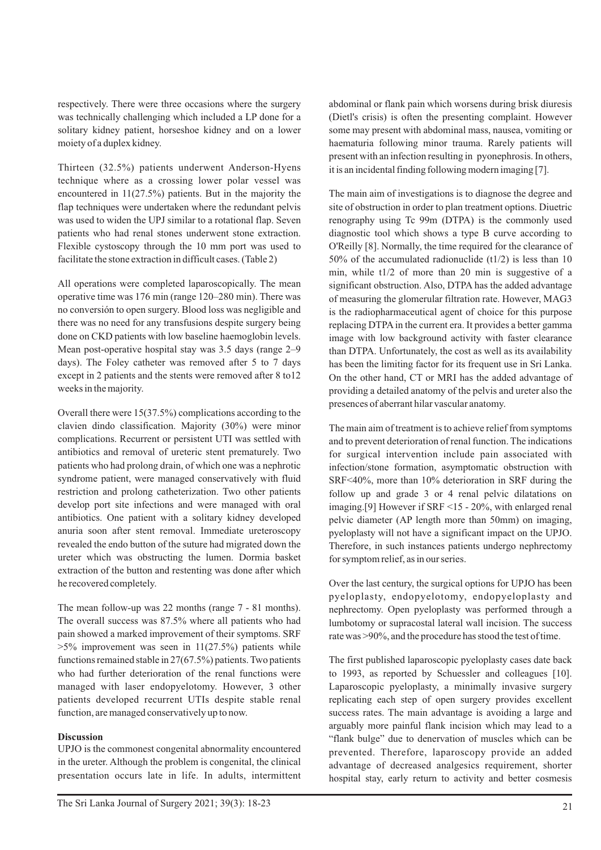respectively. There were three occasions where the surgery was technically challenging which included a LP done for a solitary kidney patient, horseshoe kidney and on a lower moiety of a duplex kidney.

Thirteen (32.5%) patients underwent Anderson-Hyens technique where as a crossing lower polar vessel was encountered in 11(27.5%) patients. But in the majority the flap techniques were undertaken where the redundant pelvis was used to widen the UPJ similar to a rotational flap. Seven patients who had renal stones underwent stone extraction. Flexible cystoscopy through the 10 mm port was used to facilitate the stone extraction in difficult cases. (Table 2)

All operations were completed laparoscopically. The mean operative time was 176 min (range 120–280 min). There was no conversión to open surgery. Blood loss was negligible and there was no need for any transfusions despite surgery being done on CKD patients with low baseline haemoglobin levels. Mean post-operative hospital stay was 3.5 days (range 2–9 days). The Foley catheter was removed after 5 to 7 days except in 2 patients and the stents were removed after 8 to12 weeks in the majority.

Overall there were 15(37.5%) complications according to the clavien dindo classification. Majority (30%) were minor complications. Recurrent or persistent UTI was settled with antibiotics and removal of ureteric stent prematurely. Two patients who had prolong drain, of which one was a nephrotic syndrome patient, were managed conservatively with fluid restriction and prolong catheterization. Two other patients develop port site infections and were managed with oral antibiotics. One patient with a solitary kidney developed anuria soon after stent removal. Immediate ureteroscopy revealed the endo button of the suture had migrated down the ureter which was obstructing the lumen. Dormia basket extraction of the button and restenting was done after which he recovered completely.

The mean follow-up was 22 months (range 7 - 81 months). The overall success was 87.5% where all patients who had pain showed a marked improvement of their symptoms. SRF  $>5\%$  improvement was seen in 11(27.5%) patients while functions remained stable in 27(67.5%) patients. Two patients who had further deterioration of the renal functions were managed with laser endopyelotomy. However, 3 other patients developed recurrent UTIs despite stable renal function, are managed conservatively up to now.

## **Discussion**

UPJO is the commonest congenital abnormality encountered in the ureter. Although the problem is congenital, the clinical presentation occurs late in life. In adults, intermittent abdominal or flank pain which worsens during brisk diuresis (Dietl's crisis) is often the presenting complaint. However some may present with abdominal mass, nausea, vomiting or haematuria following minor trauma. Rarely patients will present with an infection resulting in pyonephrosis. In others, it is an incidental finding following modern imaging [7].

The main aim of investigations is to diagnose the degree and site of obstruction in order to plan treatment options. Diuetric renography using Tc 99m (DTPA) is the commonly used diagnostic tool which shows a type B curve according to O'Reilly [8]. Normally, the time required for the clearance of 50% of the accumulated radionuclide (t1/2) is less than 10 min, while t1/2 of more than 20 min is suggestive of a significant obstruction. Also, DTPA has the added advantage of measuring the glomerular filtration rate. However, MAG3 is the radiopharmaceutical agent of choice for this purpose replacing DTPA in the current era. It provides a better gamma image with low background activity with faster clearance than DTPA. Unfortunately, the cost as well as its availability has been the limiting factor for its frequent use in Sri Lanka. On the other hand, CT or MRI has the added advantage of providing a detailed anatomy of the pelvis and ureter also the presences of aberrant hilar vascular anatomy.

The main aim of treatment is to achieve relief from symptoms and to prevent deterioration of renal function. The indications for surgical intervention include pain associated with infection/stone formation, asymptomatic obstruction with SRF<40%, more than 10% deterioration in SRF during the follow up and grade 3 or 4 renal pelvic dilatations on imaging.[9] However if SRF <15 - 20%, with enlarged renal pelvic diameter (AP length more than 50mm) on imaging, pyeloplasty will not have a significant impact on the UPJO. Therefore, in such instances patients undergo nephrectomy for symptom relief, as in our series.

Over the last century, the surgical options for UPJO has been pyeloplasty, endopyelotomy, endopyeloplasty and nephrectomy. Open pyeloplasty was performed through a lumbotomy or supracostal lateral wall incision. The success rate was >90%, and the procedure has stood the test of time.

The first published laparoscopic pyeloplasty cases date back to 1993, as reported by Schuessler and colleagues [10]. Laparoscopic pyeloplasty, a minimally invasive surgery replicating each step of open surgery provides excellent success rates. The main advantage is avoiding a large and arguably more painful flank incision which may lead to a "flank bulge" due to denervation of muscles which can be prevented. Therefore, laparoscopy provide an added advantage of decreased analgesics requirement, shorter hospital stay, early return to activity and better cosmesis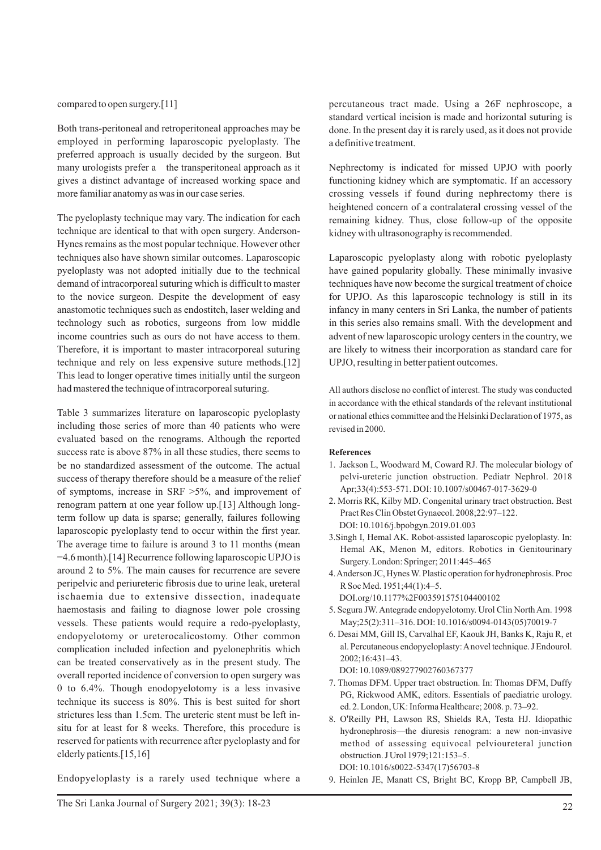compared to open surgery.[11]

Both trans-peritoneal and retroperitoneal approaches may be employed in performing laparoscopic pyeloplasty. The preferred approach is usually decided by the surgeon. But many urologists prefer a the transperitoneal approach as it gives a distinct advantage of increased working space and more familiar anatomy as was in our case series.

The pyeloplasty technique may vary. The indication for each technique are identical to that with open surgery. Anderson-Hynes remains as the most popular technique. However other techniques also have shown similar outcomes. Laparoscopic pyeloplasty was not adopted initially due to the technical demand of intracorporeal suturing which is difficult to master to the novice surgeon. Despite the development of easy anastomotic techniques such as endostitch, laser welding and technology such as robotics, surgeons from low middle income countries such as ours do not have access to them. Therefore, it is important to master intracorporeal suturing technique and rely on less expensive suture methods.[12] This lead to longer operative times initially until the surgeon had mastered the technique of intracorporeal suturing.

Table 3 summarizes literature on laparoscopic pyeloplasty including those series of more than 40 patients who were evaluated based on the renograms. Although the reported success rate is above 87% in all these studies, there seems to be no standardized assessment of the outcome. The actual success of therapy therefore should be a measure of the relief of symptoms, increase in SRF >5%, and improvement of renogram pattern at one year follow up.[13] Although longterm follow up data is sparse; generally, failures following laparoscopic pyeloplasty tend to occur within the first year. The average time to failure is around 3 to 11 months (mean =4.6 month).[14] Recurrence following laparoscopic UPJO is around 2 to 5%. The main causes for recurrence are severe peripelvic and periureteric fibrosis due to urine leak, ureteral ischaemia due to extensive dissection, inadequate haemostasis and failing to diagnose lower pole crossing vessels. These patients would require a redo-pyeloplasty, endopyelotomy or ureterocalicostomy. Other common complication included infection and pyelonephritis which can be treated conservatively as in the present study. The overall reported incidence of conversion to open surgery was 0 to 6.4%. Though enodopyelotomy is a less invasive technique its success is 80%. This is best suited for short strictures less than 1.5cm. The ureteric stent must be left insitu for at least for 8 weeks. Therefore, this procedure is reserved for patients with recurrence after pyeloplasty and for elderly patients.[15,16]

Endopyeloplasty is a rarely used technique where a

percutaneous tract made. Using a 26F nephroscope, a standard vertical incision is made and horizontal suturing is done. In the present day it is rarely used, as it does not provide a definitive treatment.

Nephrectomy is indicated for missed UPJO with poorly functioning kidney which are symptomatic. If an accessory crossing vessels if found during nephrectomy there is heightened concern of a contralateral crossing vessel of the remaining kidney. Thus, close follow-up of the opposite kidney with ultrasonography is recommended.

Laparoscopic pyeloplasty along with robotic pyeloplasty have gained popularity globally. These minimally invasive techniques have now become the surgical treatment of choice for UPJO. As this laparoscopic technology is still in its infancy in many centers in Sri Lanka, the number of patients in this series also remains small. With the development and advent of new laparoscopic urology centers in the country, we are likely to witness their incorporation as standard care for UPJO, resulting in better patient outcomes.

All authors disclose no conflict of interest. The study was conducted in accordance with the ethical standards of the relevant institutional or national ethics committee and the Helsinki Declaration of 1975, as revised in 2000.

#### **References**

- 1. Jackson L, Woodward M, Coward RJ. The molecular biology of pelvi-ureteric junction obstruction. Pediatr Nephrol. 2018 Apr;33(4):553-571. DOI: 10.1007/s00467-017-3629-0
- 2. Morris RK, Kilby MD. Congenital urinary tract obstruction. Best Pract Res Clin Obstet Gynaecol. 2008;22:97–122. DOI: 10.1016/j.bpobgyn.2019.01.003
- 3.Singh I, Hemal AK. Robot-assisted laparoscopic pyeloplasty. In: Hemal AK, Menon M, editors. Robotics in Genitourinary Surgery. London: Springer; 2011:445–465
- 4. Anderson JC, Hynes W. Plastic operation for hydronephrosis. Proc R Soc Med. 1951;44(1):4–5.

DOI.org/10.1177%2F003591575104400102

- 5. Segura JW. Antegrade endopyelotomy. Urol Clin North Am. 1998 May;25(2):311–316. DOI: 10.1016/s0094-0143(05)70019-7
- 6. Desai MM, Gill IS, Carvalhal EF, Kaouk JH, Banks K, Raju R, et al. Percutaneous endopyeloplasty: Anovel technique. J Endourol. 2002;16:431–43. DOI: 10.1089/089277902760367377
- 7. Thomas DFM. Upper tract obstruction. In: Thomas DFM, Duffy PG, Rickwood AMK, editors. Essentials of paediatric urology. ed. 2. London, UK: Informa Healthcare; 2008. p. 73–92.
- 8. O'Reilly PH, Lawson RS, Shields RA, Testa HJ. Idiopathic hydronephrosis—the diuresis renogram: a new non-invasive method of assessing equivocal pelvioureteral junction obstruction. J Urol 1979;121:153–5. DOI: 10.1016/s0022-5347(17)56703-8

9. Heinlen JE, Manatt CS, Bright BC, Kropp BP, Campbell JB,